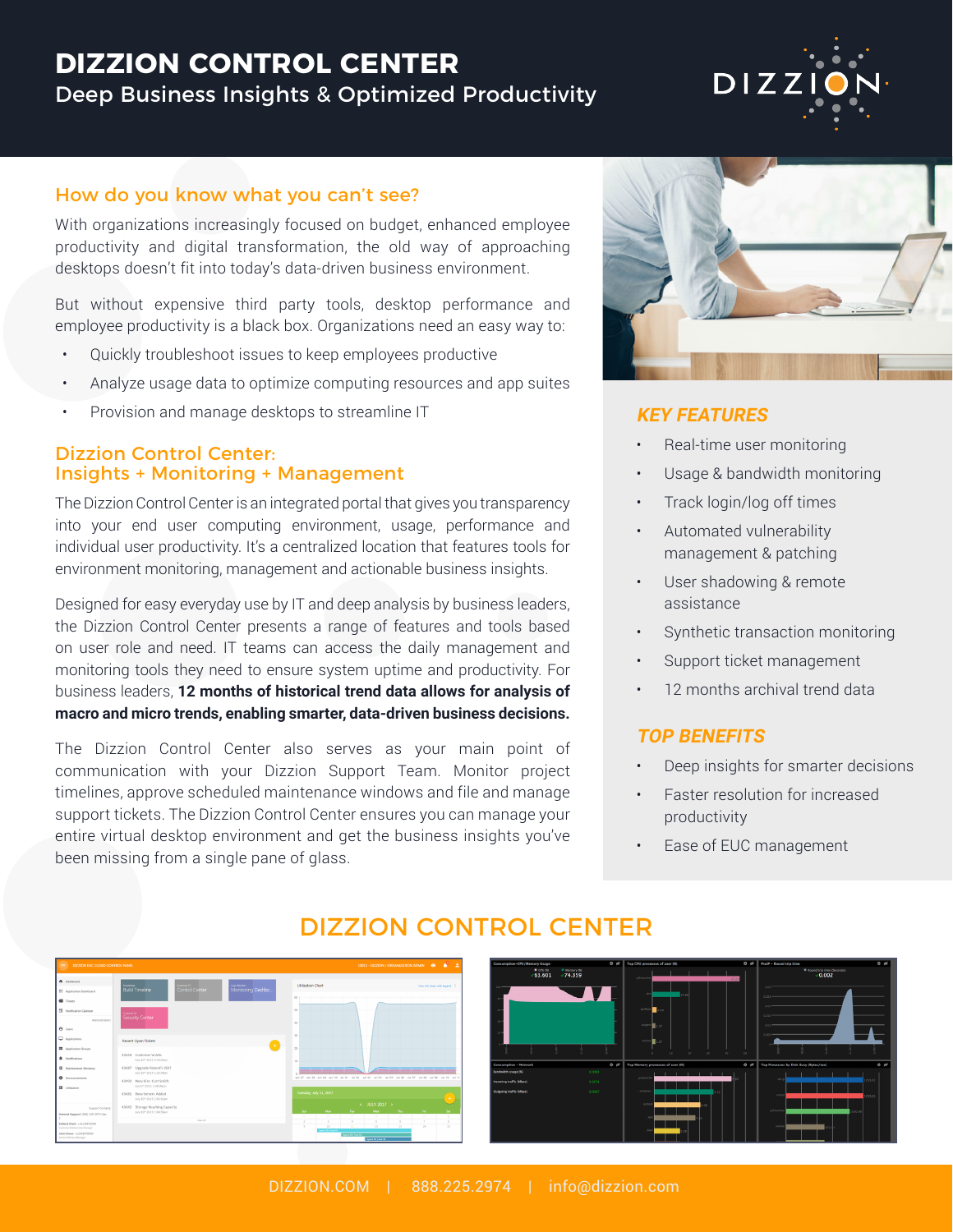### **DIZZION CONTROL CENTER** Deep Business Insights & Optimized Productivity



With organizations increasingly focused on budget, enhanced employee productivity and digital transformation, the old way of approaching desktops doesn't fit into today's data-driven business environment.

But without expensive third party tools, desktop performance and employee productivity is a black box. Organizations need an easy way to:

- Quickly troubleshoot issues to keep employees productive
- Analyze usage data to optimize computing resources and app suites
- Provision and manage desktops to streamline IT

#### Dizzion Control Center: Insights + Monitoring + Management

The Dizzion Control Center is an integrated portal that gives you transparency into your end user computing environment, usage, performance and individual user productivity. It's a centralized location that features tools for environment monitoring, management and actionable business insights.

Designed for easy everyday use by IT and deep analysis by business leaders, the Dizzion Control Center presents a range of features and tools based on user role and need. IT teams can access the daily management and monitoring tools they need to ensure system uptime and productivity. For business leaders, **12 months of historical trend data allows for analysis of macro and micro trends, enabling smarter, data-driven business decisions.**

The Dizzion Control Center also serves as your main point of communication with your Dizzion Support Team. Monitor project timelines, approve scheduled maintenance windows and file and manage support tickets. The Dizzion Control Center ensures you can manage your entire virtual desktop environment and get the business insights you've been missing from a single pane of glass.



DIZZ

#### **KEY FEATURES**

- Real-time user monitoring
- Usage & bandwidth monitoring
- Track login/log off times
- Automated vulnerability management & patching
- User shadowing & remote assistance
- Synthetic transaction monitoring
- Support ticket management
- 12 months archival trend data

#### **TOP BENEFITS**

- Deep insights for smarter decisions
- Faster resolution for increased productivity
- Ease of EUC management



### DIZZION CONTROL CENTER